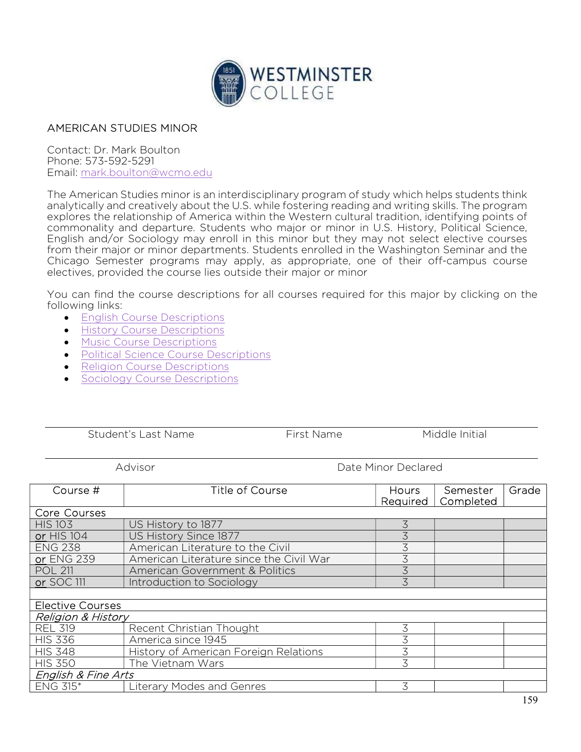

## AMERICAN STUDIES MINOR

Contact: Dr. Mark Boulton Phone: 573-592-5291 Email: mark.boulton@wcmo.edu

The American Studies minor is an interdisciplinary program of study which helps students think analytically and creatively about the U.S. while fostering reading and writing skills. The program explores the relationship of America within the Western cultural tradition, identifying points of commonality and departure. Students who major or minor in U.S. History, Political Science, English and/or Sociology may enroll in this minor but they may not select elective courses from their major or minor departments. Students enrolled in the Washington Seminar and the Chicago Semester programs may apply, as appropriate, one of their off-campus course electives, provided the course lies outside their major or minor

You can find the course descriptions for all courses required for this major by clicking on the following links:

- **•** English Course Descriptions
- **•** History Course Descriptions
- **Music Course Descriptions**
- Political Science Course Descriptions
- Religion Course Descriptions
- Sociology Course Descriptions

Student's Last Name First Name Middle Initial

Advisor Date Minor Declared

| Course #                      | <b>Title of Course</b>                  | Hours<br>Required | Semester<br>Completed | Grade |  |  |
|-------------------------------|-----------------------------------------|-------------------|-----------------------|-------|--|--|
| <b>Core Courses</b>           |                                         |                   |                       |       |  |  |
| <b>HIS 103</b>                | US History to 1877                      | 3                 |                       |       |  |  |
| or HIS 104                    | US History Since 1877                   | 3                 |                       |       |  |  |
| <b>ENG 238</b>                | American Literature to the Civil        | 3                 |                       |       |  |  |
| or ENG 239                    | American Literature since the Civil War | 3                 |                       |       |  |  |
| <b>POL 211</b>                | American Government & Politics          | 3                 |                       |       |  |  |
| or SOC 111                    | Introduction to Sociology               | 3                 |                       |       |  |  |
|                               |                                         |                   |                       |       |  |  |
| <b>Elective Courses</b>       |                                         |                   |                       |       |  |  |
| <b>Religion &amp; History</b> |                                         |                   |                       |       |  |  |
| <b>REL 319</b>                | Recent Christian Thought                | 3                 |                       |       |  |  |
| <b>HIS 336</b>                | America since 1945                      | 3                 |                       |       |  |  |
| <b>HIS 348</b>                | History of American Foreign Relations   | 3                 |                       |       |  |  |
| <b>HIS 350</b>                | The Vietnam Wars                        | 3                 |                       |       |  |  |
| English & Fine Arts           |                                         |                   |                       |       |  |  |
| <b>ENG 315*</b>               | Literary Modes and Genres               | 3                 |                       |       |  |  |